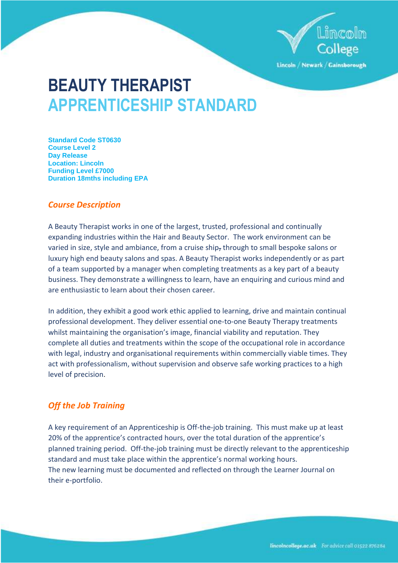

Lincoln / Newark / Gainsborough

# **BEAUTY THERAPIST APPRENTICESHIP STANDARD**

**Standard Code ST0630 Course Level 2 Day Release Location: Lincoln Funding Level £7000 Duration 18mths including EPA**

# *Course Description*

A Beauty Therapist works in one of the largest, trusted, professional and continually expanding industries within the Hair and Beauty Sector. The work environment can be varied in size, style and ambiance, from a cruise ship, through to small bespoke salons or luxury high end beauty salons and spas. A Beauty Therapist works independently or as part of a team supported by a manager when completing treatments as a key part of a beauty business. They demonstrate a willingness to learn, have an enquiring and curious mind and are enthusiastic to learn about their chosen career.

In addition, they exhibit a good work ethic applied to learning, drive and maintain continual professional development. They deliver essential one-to-one Beauty Therapy treatments whilst maintaining the organisation's image, financial viability and reputation. They complete all duties and treatments within the scope of the occupational role in accordance with legal, industry and organisational requirements within commercially viable times. They act with professionalism, without supervision and observe safe working practices to a high level of precision.

# *Off the Job Training*

A key requirement of an Apprenticeship is Off-the-job training. This must make up at least 20% of the apprentice's contracted hours, over the total duration of the apprentice's planned training period. Off-the-job training must be directly relevant to the apprenticeship standard and must take place within the apprentice's normal working hours. The new learning must be documented and reflected on through the Learner Journal on their e-portfolio.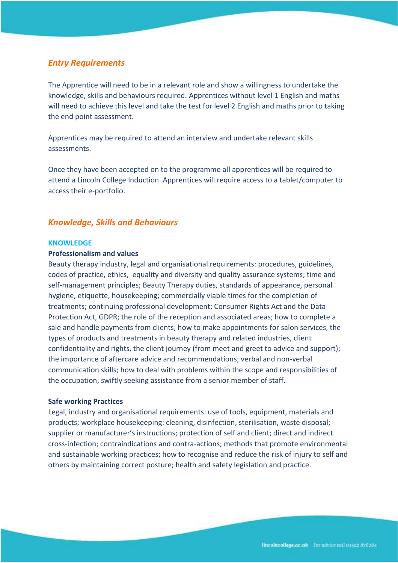# *Entry Requirements*

The Apprentice will need to be in a relevant role and show a willingness to undertake the knowledge, skills and behaviours required. Apprentices without level 1 English and maths will need to achieve this level and take the test for level 2 English and maths prior to taking the end point assessment.

Apprentices may be required to attend an interview and undertake relevant skills assessments.

Once they have been accepted on to the programme all apprentices will be required to attend a Lincoln College Induction. Apprentices will require access to a tablet/computer to access their e-portfolio.

# *Knowledge, Skills and Behaviours*

#### **KNOWLEDGE**

## **Professionalism and values**

Beauty therapy industry, legal and organisational requirements: procedures, guidelines, codes of practice, ethics, equality and diversity and quality assurance systems; time and self-management principles; Beauty Therapy duties, standards of appearance, personal hygiene, etiquette, housekeeping; commercially viable times for the completion of treatments; continuing professional development; Consumer Rights Act and the Data Protection Act, GDPR; the role of the reception and associated areas; how to complete a sale and handle payments from clients; how to make appointments for salon services, the types of products and treatments in beauty therapy and related industries, client confidentiality and rights, the client journey (from meet and greet to advice and support); the importance of aftercare advice and recommendations; verbal and non-verbal communication skills; how to deal with problems within the scope and responsibilities of the occupation, swiftly seeking assistance from a senior member of staff.

#### **Safe working Practices**

Legal, industry and organisational requirements: use of tools, equipment, materials and products; workplace housekeeping: cleaning, disinfection, sterilisation, waste disposal; supplier or manufacturer's instructions; protection of self and client; direct and indirect cross-infection; contraindications and contra-actions; methods that promote environmental and sustainable working practices; how to recognise and reduce the risk of injury to self and others by maintaining correct posture; health and safety legislation and practice.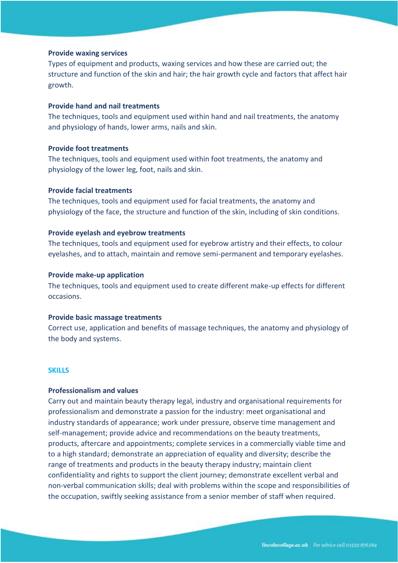#### **Provide waxing services**

Types of equipment and products, waxing services and how these are carried out; the structure and function of the skin and hair; the hair growth cycle and factors that affect hair growth.

# **Provide hand and nail treatments**

The techniques, tools and equipment used within hand and nail treatments, the anatomy and physiology of hands, lower arms, nails and skin.

#### **Provide foot treatments**

The techniques, tools and equipment used within foot treatments, the anatomy and physiology of the lower leg, foot, nails and skin.

## **Provide facial treatments**

The techniques, tools and equipment used for facial treatments, the anatomy and physiology of the face, the structure and function of the skin, including of skin conditions.

# **Provide eyelash and eyebrow treatments**

The techniques, tools and equipment used for eyebrow artistry and their effects, to colour eyelashes, and to attach, maintain and remove semi-permanent and temporary eyelashes.

#### **Provide make-up application**

The techniques, tools and equipment used to create different make-up effects for different occasions.

#### **Provide basic massage treatments**

Correct use, application and benefits of massage techniques, the anatomy and physiology of the body and systems.

## **SKILLS**

# **Professionalism and values**

Carry out and maintain beauty therapy legal, industry and organisational requirements for professionalism and demonstrate a passion for the industry: meet organisational and industry standards of appearance; work under pressure, observe time management and self-management; provide advice and recommendations on the beauty treatments, products, aftercare and appointments; complete services in a commercially viable time and to a high standard; demonstrate an appreciation of equality and diversity; describe the range of treatments and products in the beauty therapy industry; maintain client confidentiality and rights to support the client journey; demonstrate excellent verbal and non-verbal communication skills; deal with problems within the scope and responsibilities of the occupation, swiftly seeking assistance from a senior member of staff when required.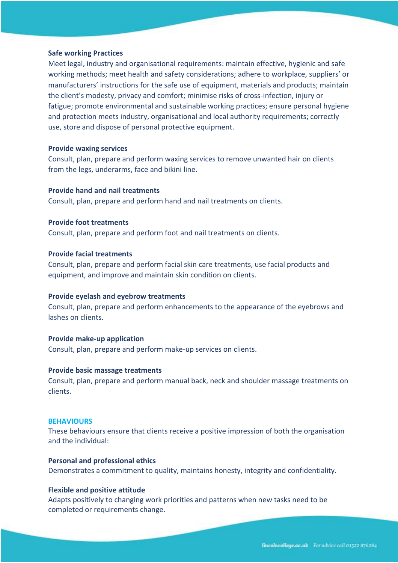#### **Safe working Practices**

Meet legal, industry and organisational requirements: maintain effective, hygienic and safe working methods; meet health and safety considerations; adhere to workplace, suppliers' or manufacturers' instructions for the safe use of equipment, materials and products; maintain the client's modesty, privacy and comfort; minimise risks of cross-infection, injury or fatigue; promote environmental and sustainable working practices; ensure personal hygiene and protection meets industry, organisational and local authority requirements; correctly use, store and dispose of personal protective equipment.

#### **Provide waxing services**

Consult, plan, prepare and perform waxing services to remove unwanted hair on clients from the legs, underarms, face and bikini line.

## **Provide hand and nail treatments**

Consult, plan, prepare and perform hand and nail treatments on clients.

## **Provide foot treatments**

Consult, plan, prepare and perform foot and nail treatments on clients.

## **Provide facial treatments**

Consult, plan, prepare and perform facial skin care treatments, use facial products and equipment, and improve and maintain skin condition on clients.

#### **Provide eyelash and eyebrow treatments**

Consult, plan, prepare and perform enhancements to the appearance of the eyebrows and lashes on clients.

#### **Provide make-up application**

Consult, plan, prepare and perform make-up services on clients.

#### **Provide basic massage treatments**

Consult, plan, prepare and perform manual back, neck and shoulder massage treatments on clients.

#### **BEHAVIOURS**

These behaviours ensure that clients receive a positive impression of both the organisation and the individual:

# **Personal and professional ethics**

Demonstrates a commitment to quality, maintains honesty, integrity and confidentiality.

#### **Flexible and positive attitude**

Adapts positively to changing work priorities and patterns when new tasks need to be completed or requirements change.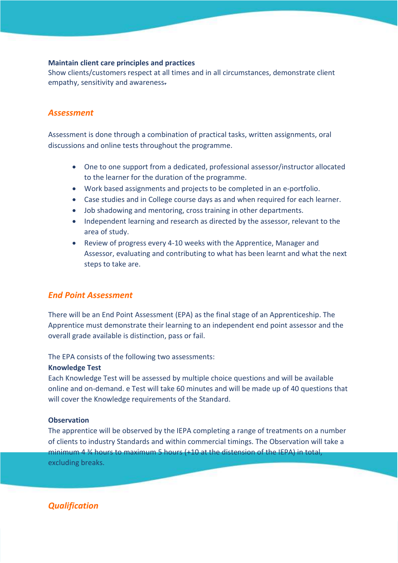# **Maintain client care principles and practices**

Show clients/customers respect at all times and in all circumstances, demonstrate client empathy, sensitivity and awareness.

# *Assessment*

Assessment is done through a combination of practical tasks, written assignments, oral discussions and online tests throughout the programme.

- One to one support from a dedicated, professional assessor/instructor allocated to the learner for the duration of the programme.
- Work based assignments and projects to be completed in an e-portfolio.
- Case studies and in College course days as and when required for each learner.
- Job shadowing and mentoring, cross training in other departments.
- Independent learning and research as directed by the assessor, relevant to the area of study.
- Review of progress every 4-10 weeks with the Apprentice, Manager and Assessor, evaluating and contributing to what has been learnt and what the next steps to take are.

# *End Point Assessment*

There will be an End Point Assessment (EPA) as the final stage of an Apprenticeship. The Apprentice must demonstrate their learning to an independent end point assessor and the overall grade available is distinction, pass or fail.

The EPA consists of the following two assessments:

#### **Knowledge Test**

Each Knowledge Test will be assessed by multiple choice questions and will be available online and on-demand. e Test will take 60 minutes and will be made up of 40 questions that will cover the Knowledge requirements of the Standard.

# **Observation**

The apprentice will be observed by the IEPA completing a range of treatments on a number of clients to industry Standards and within commercial timings. The Observation will take a minimum 4 ¾ hours to maximum 5 hours (+10 at the distension of the IEPA) in total, excluding breaks.

*Qualification*